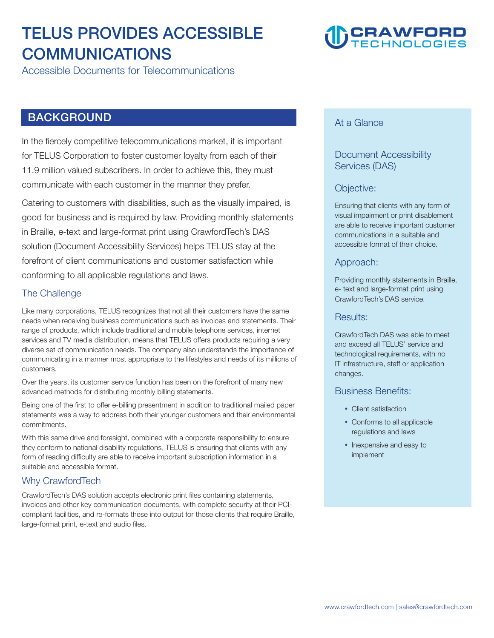### **TELUS PROVIDES ACCESSIBLE COMMUNICATIONS**

**Accessible Documents for Telecommunications** 

#### **BACKGROUND**

**In the fiercely competitive telecommunications market, it is important for TELUS Corporation to foster customer loyalty from each of their 11.9 million valued subscribers. In order to achieve this, they must communicate with each customer in the manner they prefer.** 

**Catering to customers with disabilities, such as the visually impaired, is good for business and is required by law. Providing monthly statements in Braille, e-text and large-format print using CrawfordTech's DAS solution (Document Accessibility Services) helps TELUS stay at the forefront of client communications and customer satisfaction while conforming to all applicable regulations and laws.** 

#### **The Challenge**

**Like many corporations, TELUS recognizes that not all their customers have the same needs when receiving business communications such as invoices and statements. Their range of products, which include traditional and mobile telephone services, internet services and TV media distribution, means that TELUS offers products requiring a very diverse set of communication needs. The company also understands the importance of communicating in a manner most appropriate to the lifestyles and needs of its millions of customers.** 

**Over the years, its customer service function has been on the forefront of many new advanced methods for distributing monthly billing statements.** 

**Being one of the first to offer e-billing presentment in addition to traditional mailed paper statements was a way to address both their younger customers and their environmental commitments.** 

**With this same drive and foresight, combined with a corporate responsibility to ensure they conform to national disability regulations, TELUS is ensuring that clients with any form of reading difficulty are able to receive important subscription information in a suitable and accessible format.** 

#### **Why CrawfordTech**

**CrawfordTech's DAS solution accepts electronic print files containing statements, invoices and other key communication documents, with complete security at their PCIcompliant facilities, and re-formats these into output for those clients that require Braille, large-format print, e-text and audio files.** 

## **CRAWFORD**

#### **At a Glance**

#### **Document Accessibility Services (DAS)**

#### **Objective:**

**Ensuring that clients with any form of visual impairment or print disablement are able to receive important customer communications in a suitable and accessible format of their choice.** 

#### **Approach:**

**Providing monthly statements in Braille, e- text and large-format print using CrawfordTech's DAS service.**

#### **Results:**

**CrawfordTech DAS was able to meet and exceed all TELUS' service and technological requirements, with no IT infrastructure, staff or application changes.** 

#### **Business Benefits:**

- Client satisfaction
- Conforms to all applicable **regulations and laws**
- Inexpensive and easy to **implement**